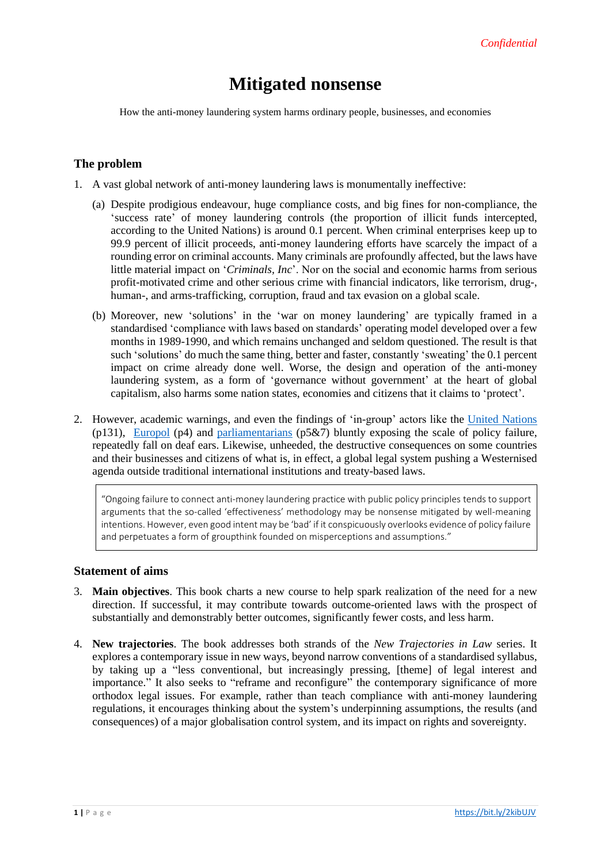# **Mitigated nonsense**

How the anti-money laundering system harms ordinary people, businesses, and economies

# **The problem**

- 1. A vast global network of anti-money laundering laws is monumentally ineffective:
	- (a) Despite prodigious endeavour, huge compliance costs, and big fines for non-compliance, the 'success rate' of money laundering controls (the proportion of illicit funds intercepted, according to the United Nations) is around 0.1 percent. When criminal enterprises keep up to 99.9 percent of illicit proceeds, anti-money laundering efforts have scarcely the impact of a rounding error on criminal accounts. Many criminals are profoundly affected, but the laws have little material impact on '*Criminals, Inc*'. Nor on the social and economic harms from serious profit-motivated crime and other serious crime with financial indicators, like terrorism, drug-, human-, and arms-trafficking, corruption, fraud and tax evasion on a global scale.
	- (b) Moreover, new 'solutions' in the 'war on money laundering' are typically framed in a standardised 'compliance with laws based on standards' operating model developed over a few months in 1989-1990, and which remains unchanged and seldom questioned. The result is that such 'solutions' do much the same thing, better and faster, constantly 'sweating' the 0.1 percent impact on crime already done well. Worse, the design and operation of the anti-money laundering system, as a form of 'governance without government' at the heart of global capitalism, also harms some nation states, economies and citizens that it claims to 'protect'.
- 2. However, academic warnings, and even the findings of 'in-group' actors like the [United Nations](https://www.unodc.org/documents/data-and-analysis/Studies/Illicit_financial_flows_2011_web.pdf) (p131), [Europol](https://www.europol.europa.eu/newsroom/news/does-crime-still-pay) (p4) and [parliamentarians](https://bit.ly/2KWzXbX) (p5&7) bluntly exposing the scale of policy failure, repeatedly fall on deaf ears. Likewise, unheeded, the destructive consequences on some countries and their businesses and citizens of what is, in effect, a global legal system pushing a Westernised agenda outside traditional international institutions and treaty-based laws.

"Ongoing failure to connect anti-money laundering practice with public policy principles tends to support arguments that the so-called 'effectiveness' methodology may be nonsense mitigated by well-meaning intentions. However, even good intent may be 'bad' if it conspicuously overlooks evidence of policy failure and perpetuates a form of groupthink founded on misperceptions and assumptions."

## **Statement of aims**

- 3. **Main objectives**. This book charts a new course to help spark realization of the need for a new direction. If successful, it may contribute towards outcome-oriented laws with the prospect of substantially and demonstrably better outcomes, significantly fewer costs, and less harm.
- 4. **New trajectories**. The book addresses both strands of the *New Trajectories in Law* series. It explores a contemporary issue in new ways, beyond narrow conventions of a standardised syllabus, by taking up a "less conventional, but increasingly pressing, [theme] of legal interest and importance." It also seeks to "reframe and reconfigure" the contemporary significance of more orthodox legal issues. For example, rather than teach compliance with anti-money laundering regulations, it encourages thinking about the system's underpinning assumptions, the results (and consequences) of a major globalisation control system, and its impact on rights and sovereignty.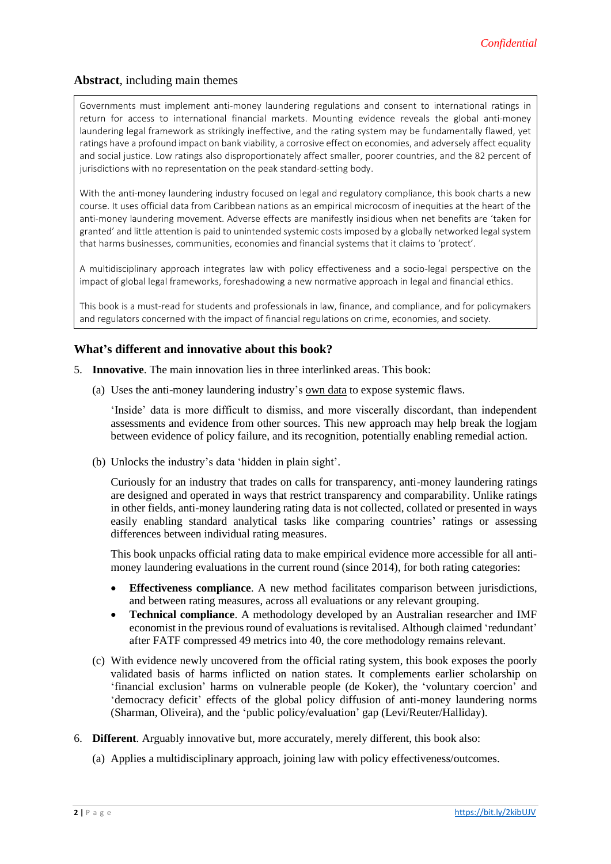# **Abstract**, including main themes

Governments must implement anti-money laundering regulations and consent to international ratings in return for access to international financial markets. Mounting evidence reveals the global anti-money laundering legal framework as strikingly ineffective, and the rating system may be fundamentally flawed, yet ratings have a profound impact on bank viability, a corrosive effect on economies, and adversely affect equality and social justice. Low ratings also disproportionately affect smaller, poorer countries, and the 82 percent of jurisdictions with no representation on the peak standard-setting body.

With the anti-money laundering industry focused on legal and regulatory compliance, this book charts a new course. It uses official data from Caribbean nations as an empirical microcosm of inequities at the heart of the anti-money laundering movement. Adverse effects are manifestly insidious when net benefits are 'taken for granted' and little attention is paid to unintended systemic costs imposed by a globally networked legal system that harms businesses, communities, economies and financial systems that it claims to 'protect'.

A multidisciplinary approach integrates law with policy effectiveness and a socio-legal perspective on the impact of global legal frameworks, foreshadowing a new normative approach in legal and financial ethics.

This book is a must-read for students and professionals in law, finance, and compliance, and for policymakers and regulators concerned with the impact of financial regulations on crime, economies, and society.

## **What's different and innovative about this book?**

- 5. **Innovative**. The main innovation lies in three interlinked areas. This book:
	- (a) Uses the anti-money laundering industry's own data to expose systemic flaws.

'Inside' data is more difficult to dismiss, and more viscerally discordant, than independent assessments and evidence from other sources. This new approach may help break the logjam between evidence of policy failure, and its recognition, potentially enabling remedial action.

(b) Unlocks the industry's data 'hidden in plain sight'.

Curiously for an industry that trades on calls for transparency, anti-money laundering ratings are designed and operated in ways that restrict transparency and comparability. Unlike ratings in other fields, anti-money laundering rating data is not collected, collated or presented in ways easily enabling standard analytical tasks like comparing countries' ratings or assessing differences between individual rating measures.

This book unpacks official rating data to make empirical evidence more accessible for all antimoney laundering evaluations in the current round (since 2014), for both rating categories:

- **Effectiveness compliance**. A new method facilitates comparison between jurisdictions, and between rating measures, across all evaluations or any relevant grouping.
- **Technical compliance**. A methodology developed by an Australian researcher and IMF economist in the previous round of evaluations is revitalised. Although claimed 'redundant' after FATF compressed 49 metrics into 40, the core methodology remains relevant.
- (c) With evidence newly uncovered from the official rating system, this book exposes the poorly validated basis of harms inflicted on nation states. It complements earlier scholarship on 'financial exclusion' harms on vulnerable people (de Koker), the 'voluntary coercion' and 'democracy deficit' effects of the global policy diffusion of anti-money laundering norms (Sharman, Oliveira), and the 'public policy/evaluation' gap (Levi/Reuter/Halliday).
- 6. **Different**. Arguably innovative but, more accurately, merely different, this book also:
	- (a) Applies a multidisciplinary approach, joining law with policy effectiveness/outcomes.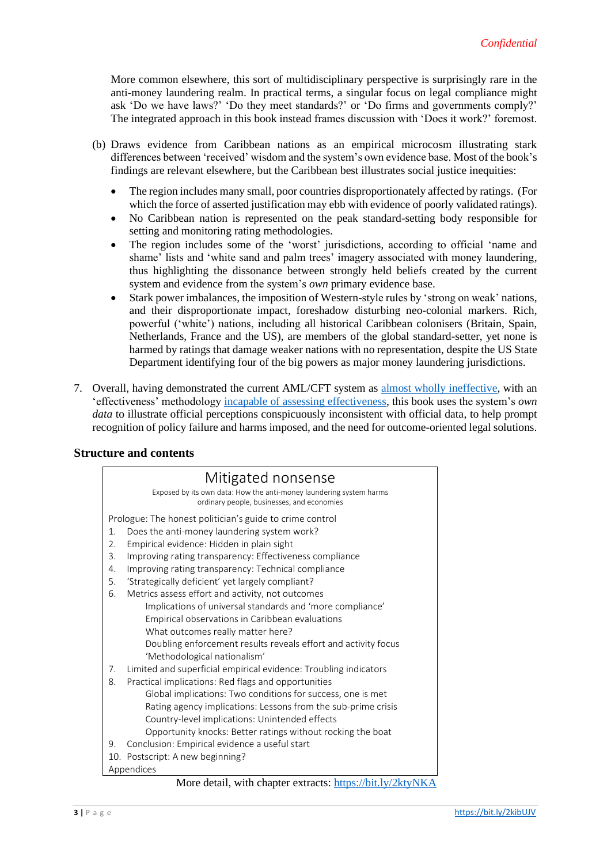More common elsewhere, this sort of multidisciplinary perspective is surprisingly rare in the anti-money laundering realm. In practical terms, a singular focus on legal compliance might ask 'Do we have laws?' 'Do they meet standards?' or 'Do firms and governments comply?' The integrated approach in this book instead frames discussion with 'Does it work?' foremost.

- (b) Draws evidence from Caribbean nations as an empirical microcosm illustrating stark differences between 'received' wisdom and the system's own evidence base. Most of the book's findings are relevant elsewhere, but the Caribbean best illustrates social justice inequities:
	- The region includes many small, poor countries disproportionately affected by ratings. (For which the force of asserted justification may ebb with evidence of poorly validated ratings).
	- No Caribbean nation is represented on the peak standard-setting body responsible for setting and monitoring rating methodologies.
	- The region includes some of the 'worst' jurisdictions, according to official 'name and shame' lists and 'white sand and palm trees' imagery associated with money laundering, thus highlighting the dissonance between strongly held beliefs created by the current system and evidence from the system's *own* primary evidence base.
	- Stark power imbalances, the imposition of Western-style rules by 'strong on weak' nations, and their disproportionate impact, foreshadow disturbing neo-colonial markers. Rich, powerful ('white') nations, including all historical Caribbean colonisers (Britain, Spain, Netherlands, France and the US), are members of the global standard-setter, yet none is harmed by ratings that damage weaker nations with no representation, despite the US State Department identifying four of the big powers as major money laundering jurisdictions.
- 7. Overall, having demonstrated the current AML/CFT system as [almost wholly ineffective,](https://doi.org/10.1108/JFC-08-2017-0071) with an 'effectiveness' methodology [incapable of assessing effectiveness,](http://dx.doi.org/10.1108/JMLC-07-2017-0029) this book uses the system's *own data* to illustrate official perceptions conspicuously inconsistent with official data, to help prompt recognition of policy failure and harms imposed, and the need for outcome-oriented legal solutions.

#### **Structure and contents**

#### Mitigated nonsense Exposed by its own data: How the anti-money laundering system harms ordinary people, businesses, and economies Prologue: The honest politician's guide to crime control 1. Does the anti-money laundering system work? 2. Empirical evidence: Hidden in plain sight 3. Improving rating transparency: Effectiveness compliance 4. Improving rating transparency: Technical compliance 5. 'Strategically deficient' yet largely compliant? 6. Metrics assess effort and activity, not outcomes Implications of universal standards and 'more compliance' Empirical observations in Caribbean evaluations What outcomes really matter here? Doubling enforcement results reveals effort and activity focus 'Methodological nationalism' 7. Limited and superficial empirical evidence: Troubling indicators 8. Practical implications: Red flags and opportunities Global implications: Two conditions for success, one is met Rating agency implications: Lessons from the sub-prime crisis Country-level implications: Unintended effects Opportunity knocks: Better ratings without rocking the boat 9. Conclusion: Empirical evidence a useful start 10. Postscript: A new beginning? Appendices

#### More detail, with chapter extracts: <https://bit.ly/2ktyNKA>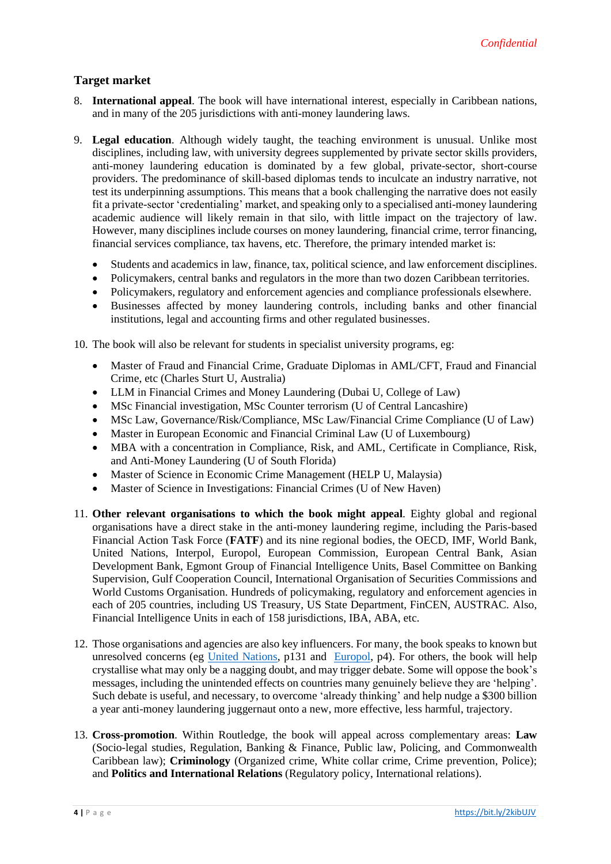# **Target market**

- 8. **International appeal**. The book will have international interest, especially in Caribbean nations, and in many of the 205 jurisdictions with anti-money laundering laws.
- 9. **Legal education**. Although widely taught, the teaching environment is unusual. Unlike most disciplines, including law, with university degrees supplemented by private sector skills providers, anti-money laundering education is dominated by a few global, private-sector, short-course providers. The predominance of skill-based diplomas tends to inculcate an industry narrative, not test its underpinning assumptions. This means that a book challenging the narrative does not easily fit a private-sector 'credentialing' market, and speaking only to a specialised anti-money laundering academic audience will likely remain in that silo, with little impact on the trajectory of law. However, many disciplines include courses on money laundering, financial crime, terror financing, financial services compliance, tax havens, etc. Therefore, the primary intended market is:
	- Students and academics in law, finance, tax, political science, and law enforcement disciplines.
	- Policymakers, central banks and regulators in the more than two dozen Caribbean territories.
	- Policymakers, regulatory and enforcement agencies and compliance professionals elsewhere.
	- Businesses affected by money laundering controls, including banks and other financial institutions, legal and accounting firms and other regulated businesses.

10. The book will also be relevant for students in specialist university programs, eg:

- Master of Fraud and Financial Crime, Graduate Diplomas in AML/CFT, Fraud and Financial Crime, etc (Charles Sturt U, Australia)
- LLM in Financial Crimes and Money Laundering (Dubai U, College of Law)
- MSc Financial investigation, MSc Counter terrorism (U of Central Lancashire)
- MSc Law, Governance/Risk/Compliance, MSc Law/Financial Crime Compliance (U of Law)
- Master in European Economic and Financial Criminal Law (U of Luxembourg)
- MBA with a concentration in Compliance, Risk, and AML, Certificate in Compliance, Risk, and Anti-Money Laundering (U of South Florida)
- Master of Science in Economic Crime Management (HELP U, Malaysia)
- Master of Science in Investigations: Financial Crimes (U of New Haven)
- 11. **Other relevant organisations to which the book might appeal**. Eighty global and regional organisations have a direct stake in the anti-money laundering regime, including the Paris-based Financial Action Task Force (**FATF**) and its nine regional bodies, the OECD, IMF, World Bank, United Nations, Interpol, Europol, European Commission, European Central Bank, Asian Development Bank, Egmont Group of Financial Intelligence Units, Basel Committee on Banking Supervision, Gulf Cooperation Council, International Organisation of Securities Commissions and World Customs Organisation. Hundreds of policymaking, regulatory and enforcement agencies in each of 205 countries, including US Treasury, US State Department, FinCEN, AUSTRAC. Also, Financial Intelligence Units in each of 158 jurisdictions, IBA, ABA, etc.
- 12. Those organisations and agencies are also key influencers. For many, the book speaks to known but unresolved concerns (eg [United Nations,](https://www.unodc.org/documents/data-and-analysis/Studies/Illicit_financial_flows_2011_web.pdf) p131 and [Europol,](https://www.europol.europa.eu/newsroom/news/does-crime-still-pay) p4). For others, the book will help crystallise what may only be a nagging doubt, and may trigger debate. Some will oppose the book's messages, including the unintended effects on countries many genuinely believe they are 'helping'. Such debate is useful, and necessary, to overcome 'already thinking' and help nudge a \$300 billion a year anti-money laundering juggernaut onto a new, more effective, less harmful, trajectory.
- 13. **Cross-promotion**. Within Routledge, the book will appeal across complementary areas: **Law** (Socio-legal studies, Regulation, Banking & Finance, Public law, Policing, and Commonwealth Caribbean law); **Criminology** (Organized crime, White collar crime, Crime prevention, Police); and **Politics and International Relations** (Regulatory policy, International relations).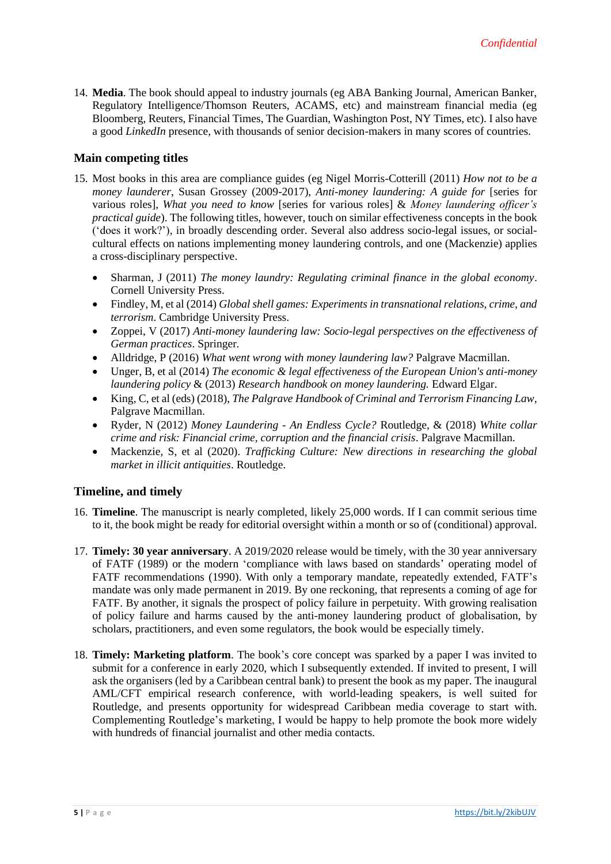14. **Media**. The book should appeal to industry journals (eg ABA Banking Journal, American Banker, Regulatory Intelligence/Thomson Reuters, ACAMS, etc) and mainstream financial media (eg Bloomberg, Reuters, Financial Times, The Guardian, Washington Post, NY Times, etc). I also have a good *LinkedIn* presence, with thousands of senior decision-makers in many scores of countries.

## **Main competing titles**

- 15. Most books in this area are compliance guides (eg Nigel Morris-Cotterill (2011) *How not to be a money launderer*, Susan Grossey (2009-2017), *Anti-money laundering: A guide for* [series for various roles], *What you need to know* [series for various roles] & *Money laundering officer's practical guide*). The following titles, however, touch on similar effectiveness concepts in the book ('does it work?'), in broadly descending order. Several also address socio-legal issues, or socialcultural effects on nations implementing money laundering controls, and one (Mackenzie) applies a cross-disciplinary perspective.
	- Sharman, J (2011) *The money laundry: Regulating criminal finance in the global economy*. Cornell University Press.
	- Findley, M, et al (2014) *Global shell games: Experiments in transnational relations, crime, and terrorism*. Cambridge University Press.
	- Zoppei, V (2017) *Anti-money laundering law: Socio-legal perspectives on the effectiveness of German practices*. Springer.
	- Alldridge, P (2016) *What went wrong with money laundering law?* Palgrave Macmillan.
	- Unger, B, et al (2014) *The economic & legal effectiveness of the European Union's anti-money laundering policy* & (2013) *Research handbook on money laundering.* Edward Elgar.
	- King, C, et al (eds) (2018), *The Palgrave Handbook of Criminal and Terrorism Financing Law*, Palgrave Macmillan.
	- Ryder, N (2012) *Money Laundering - An Endless Cycle?* Routledge, & (2018) *White collar crime and risk: Financial crime, corruption and the financial crisis*. Palgrave Macmillan.
	- Mackenzie, S, et al (2020). *Trafficking Culture: New directions in researching the global market in illicit antiquities*. Routledge.

## **Timeline, and timely**

- 16. **Timeline**. The manuscript is nearly completed, likely 25,000 words. If I can commit serious time to it, the book might be ready for editorial oversight within a month or so of (conditional) approval.
- 17. **Timely: 30 year anniversary**. A 2019/2020 release would be timely, with the 30 year anniversary of FATF (1989) or the modern 'compliance with laws based on standards' operating model of FATF recommendations (1990). With only a temporary mandate, repeatedly extended, FATF's mandate was only made permanent in 2019. By one reckoning, that represents a coming of age for FATF. By another, it signals the prospect of policy failure in perpetuity. With growing realisation of policy failure and harms caused by the anti-money laundering product of globalisation, by scholars, practitioners, and even some regulators, the book would be especially timely.
- 18. **Timely: Marketing platform**. The book's core concept was sparked by a paper I was invited to submit for a conference in early 2020, which I subsequently extended. If invited to present, I will ask the organisers (led by a Caribbean central bank) to present the book as my paper. The inaugural AML/CFT empirical research conference, with world-leading speakers, is well suited for Routledge, and presents opportunity for widespread Caribbean media coverage to start with. Complementing Routledge's marketing, I would be happy to help promote the book more widely with hundreds of financial journalist and other media contacts.